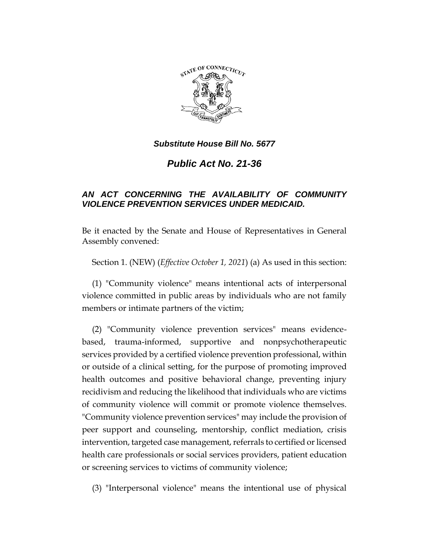

*Public Act No. 21-36*

## *AN ACT CONCERNING THE AVAILABILITY OF COMMUNITY VIOLENCE PREVENTION SERVICES UNDER MEDICAID.*

Be it enacted by the Senate and House of Representatives in General Assembly convened:

Section 1. (NEW) (*Effective October 1, 2021*) (a) As used in this section:

(1) "Community violence" means intentional acts of interpersonal violence committed in public areas by individuals who are not family members or intimate partners of the victim;

(2) "Community violence prevention services" means evidencebased, trauma-informed, supportive and nonpsychotherapeutic services provided by a certified violence prevention professional, within or outside of a clinical setting, for the purpose of promoting improved health outcomes and positive behavioral change, preventing injury recidivism and reducing the likelihood that individuals who are victims of community violence will commit or promote violence themselves. "Community violence prevention services" may include the provision of peer support and counseling, mentorship, conflict mediation, crisis intervention, targeted case management, referrals to certified or licensed health care professionals or social services providers, patient education or screening services to victims of community violence;

(3) "Interpersonal violence" means the intentional use of physical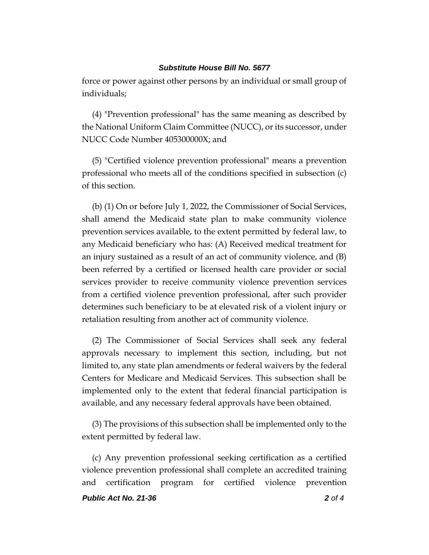force or power against other persons by an individual or small group of individuals;

(4) "Prevention professional" has the same meaning as described by the National Uniform Claim Committee (NUCC), or its successor, under NUCC Code Number 405300000X; and

(5) "Certified violence prevention professional" means a prevention professional who meets all of the conditions specified in subsection (c) of this section.

(b) (1) On or before July 1, 2022, the Commissioner of Social Services, shall amend the Medicaid state plan to make community violence prevention services available, to the extent permitted by federal law, to any Medicaid beneficiary who has: (A) Received medical treatment for an injury sustained as a result of an act of community violence, and (B) been referred by a certified or licensed health care provider or social services provider to receive community violence prevention services from a certified violence prevention professional, after such provider determines such beneficiary to be at elevated risk of a violent injury or retaliation resulting from another act of community violence.

(2) The Commissioner of Social Services shall seek any federal approvals necessary to implement this section, including, but not limited to, any state plan amendments or federal waivers by the federal Centers for Medicare and Medicaid Services. This subsection shall be implemented only to the extent that federal financial participation is available, and any necessary federal approvals have been obtained.

(3) The provisions of this subsection shall be implemented only to the extent permitted by federal law.

(c) Any prevention professional seeking certification as a certified violence prevention professional shall complete an accredited training and certification program for certified violence prevention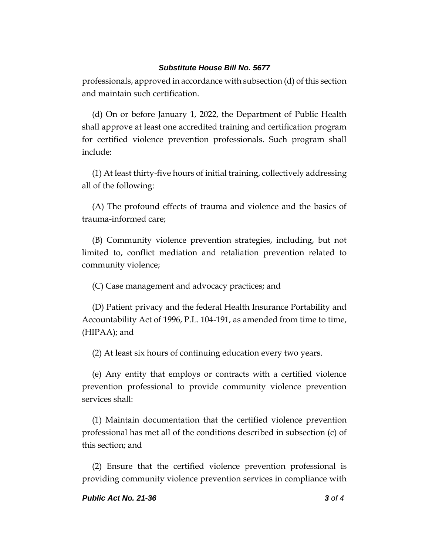professionals, approved in accordance with subsection (d) of this section and maintain such certification.

(d) On or before January 1, 2022, the Department of Public Health shall approve at least one accredited training and certification program for certified violence prevention professionals. Such program shall include:

(1) At least thirty-five hours of initial training, collectively addressing all of the following:

(A) The profound effects of trauma and violence and the basics of trauma-informed care;

(B) Community violence prevention strategies, including, but not limited to, conflict mediation and retaliation prevention related to community violence;

(C) Case management and advocacy practices; and

(D) Patient privacy and the federal Health Insurance Portability and Accountability Act of 1996, P.L. 104-191, as amended from time to time, (HIPAA); and

(2) At least six hours of continuing education every two years.

(e) Any entity that employs or contracts with a certified violence prevention professional to provide community violence prevention services shall:

(1) Maintain documentation that the certified violence prevention professional has met all of the conditions described in subsection (c) of this section; and

(2) Ensure that the certified violence prevention professional is providing community violence prevention services in compliance with